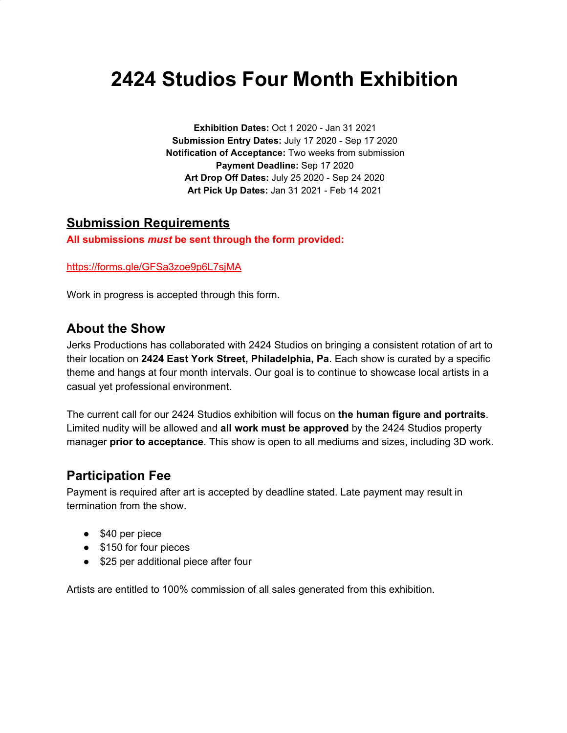# **2424 Studios Four Month Exhibition**

**Exhibition Dates:** Oct 1 2020 - Jan 31 2021 **Submission Entry Dates:** July 17 2020 - Sep 17 2020 **Notification of Acceptance:** Two weeks from submission **Payment Deadline:** Sep 17 2020 **Art Drop Off Dates:** July 25 2020 - Sep 24 2020 **Art Pick Up Dates:** Jan 31 2021 - Feb 14 2021

#### **Submission Requirements**

**All submissions** *must* **be sent through the form provided:**

<https://forms.gle/GFSa3zoe9p6L7sjMA>

Work in progress is accepted through this form.

#### **About the Show**

Jerks Productions has collaborated with 2424 Studios on bringing a consistent rotation of art to their location on **2424 East York Street, Philadelphia, Pa**. Each show is curated by a specific theme and hangs at four month intervals. Our goal is to continue to showcase local artists in a casual yet professional environment.

The current call for our 2424 Studios exhibition will focus on **the human figure and portraits**. Limited nudity will be allowed and **all work must be approved** by the 2424 Studios property manager **prior to acceptance**. This show is open to all mediums and sizes, including 3D work.

#### **Participation Fee**

Payment is required after art is accepted by deadline stated. Late payment may result in termination from the show.

- \$40 per piece
- \$150 for four pieces
- \$25 per additional piece after four

Artists are entitled to 100% commission of all sales generated from this exhibition.